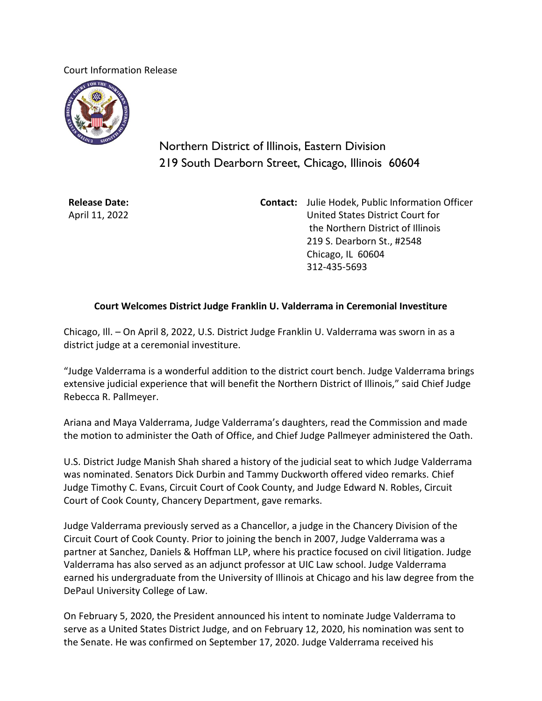Court Information Release



Northern District of Illinois, Eastern Division 219 South Dearborn Street, Chicago, Illinois 60604

**Release Date:** April 11, 2022 **Contact:** Julie Hodek, Public Information Officer United States District Court for the Northern District of Illinois 219 S. Dearborn St., #2548 Chicago, IL 60604 312-435-5693

## **Court Welcomes District Judge Franklin U. Valderrama in Ceremonial Investiture**

Chicago, Ill. – On April 8, 2022, U.S. District Judge Franklin U. Valderrama was sworn in as a district judge at a ceremonial investiture.

"Judge Valderrama is a wonderful addition to the district court bench. Judge Valderrama brings extensive judicial experience that will benefit the Northern District of Illinois," said Chief Judge Rebecca R. Pallmeyer.

Ariana and Maya Valderrama, Judge Valderrama's daughters, read the Commission and made the motion to administer the Oath of Office, and Chief Judge Pallmeyer administered the Oath.

U.S. District Judge Manish Shah shared a history of the judicial seat to which Judge Valderrama was nominated. Senators Dick Durbin and Tammy Duckworth offered video remarks. Chief Judge Timothy C. Evans, Circuit Court of Cook County, and Judge Edward N. Robles, Circuit Court of Cook County, Chancery Department, gave remarks.

Judge Valderrama previously served as a Chancellor, a judge in the Chancery Division of the Circuit Court of Cook County. Prior to joining the bench in 2007, Judge Valderrama was a partner at Sanchez, Daniels & Hoffman LLP, where his practice focused on civil litigation. Judge Valderrama has also served as an adjunct professor at UIC Law school. Judge Valderrama earned his undergraduate from the University of Illinois at Chicago and his law degree from the DePaul University College of Law.

On February 5, 2020, the President announced his intent to nominate Judge Valderrama to serve as a United States District Judge, and on February 12, 2020, his nomination was sent to the Senate. He was confirmed on September 17, 2020. Judge Valderrama received his